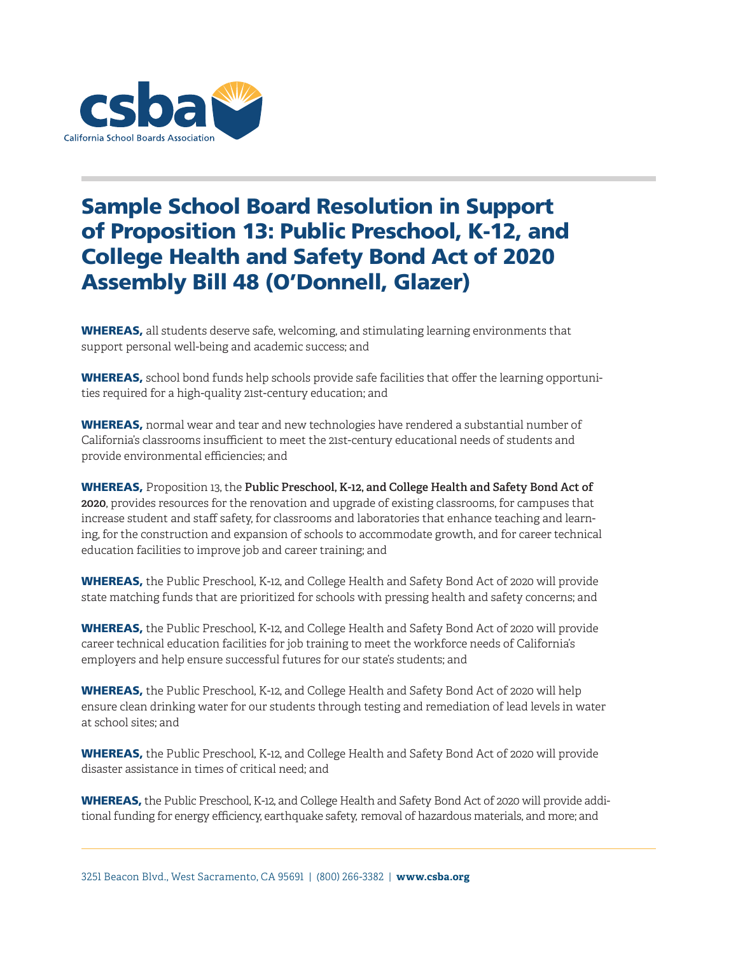

## Sample School Board Resolution in Support of Proposition 13: Public Preschool, K-12, and College Health and Safety Bond Act of 2020 Assembly Bill 48 (O'Donnell, Glazer)

WHEREAS, all students deserve safe, welcoming, and stimulating learning environments that support personal well-being and academic success; and

WHEREAS, school bond funds help schools provide safe facilities that offer the learning opportunities required for a high-quality 21st-century education; and

WHEREAS, normal wear and tear and new technologies have rendered a substantial number of California's classrooms insufficient to meet the 21st-century educational needs of students and provide environmental efficiencies; and

WHEREAS, Proposition 13, the **Public Preschool, K-12, and College Health and Safety Bond Act of 2020**, provides resources for the renovation and upgrade of existing classrooms, for campuses that increase student and staff safety, for classrooms and laboratories that enhance teaching and learning, for the construction and expansion of schools to accommodate growth, and for career technical education facilities to improve job and career training; and

WHEREAS, the Public Preschool, K-12, and College Health and Safety Bond Act of 2020 will provide state matching funds that are prioritized for schools with pressing health and safety concerns; and

WHEREAS, the Public Preschool, K-12, and College Health and Safety Bond Act of 2020 will provide career technical education facilities for job training to meet the workforce needs of California's employers and help ensure successful futures for our state's students; and

WHEREAS, the Public Preschool, K-12, and College Health and Safety Bond Act of 2020 will help ensure clean drinking water for our students through testing and remediation of lead levels in water at school sites; and

WHEREAS, the Public Preschool, K-12, and College Health and Safety Bond Act of 2020 will provide disaster assistance in times of critical need; and

WHEREAS, the Public Preschool, K-12, and College Health and Safety Bond Act of 2020 will provide additional funding for energy efficiency, earthquake safety, removal of hazardous materials, and more; and